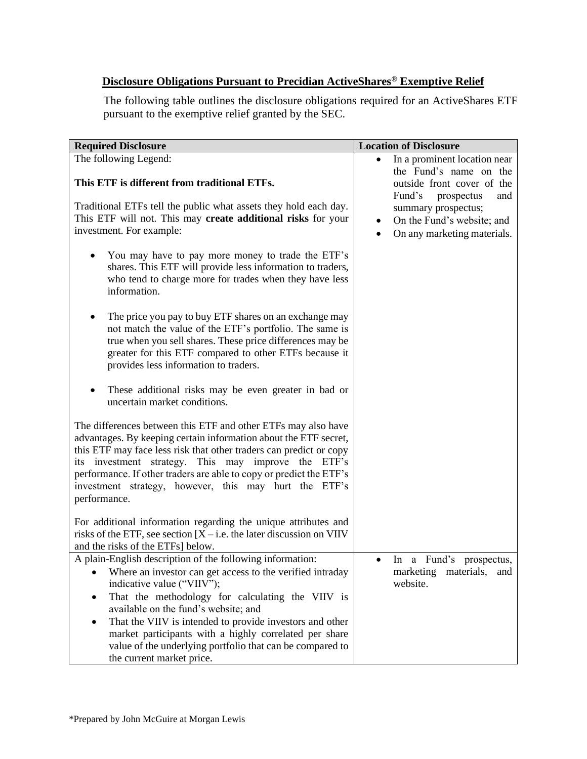## **Disclosure Obligations Pursuant to Precidian ActiveShares® Exemptive Relief**

The following table outlines the disclosure obligations required for an ActiveShares ETF pursuant to the exemptive relief granted by the SEC.

| <b>Required Disclosure</b>                                                                                                                                                                                                                                                                                                                                                                                                                                                                 | <b>Location of Disclosure</b>                                                                                                             |
|--------------------------------------------------------------------------------------------------------------------------------------------------------------------------------------------------------------------------------------------------------------------------------------------------------------------------------------------------------------------------------------------------------------------------------------------------------------------------------------------|-------------------------------------------------------------------------------------------------------------------------------------------|
| The following Legend:<br>This ETF is different from traditional ETFs.                                                                                                                                                                                                                                                                                                                                                                                                                      | In a prominent location near<br>the Fund's name on the<br>outside front cover of the                                                      |
| Traditional ETFs tell the public what assets they hold each day.<br>This ETF will not. This may create additional risks for your<br>investment. For example:                                                                                                                                                                                                                                                                                                                               | Fund's<br>prospectus<br>and<br>summary prospectus;<br>On the Fund's website; and<br>$\bullet$<br>On any marketing materials.<br>$\bullet$ |
| You may have to pay more money to trade the ETF's<br>shares. This ETF will provide less information to traders,<br>who tend to charge more for trades when they have less<br>information.                                                                                                                                                                                                                                                                                                  |                                                                                                                                           |
| The price you pay to buy ETF shares on an exchange may<br>not match the value of the ETF's portfolio. The same is<br>true when you sell shares. These price differences may be<br>greater for this ETF compared to other ETFs because it<br>provides less information to traders.                                                                                                                                                                                                          |                                                                                                                                           |
| These additional risks may be even greater in bad or<br>uncertain market conditions.                                                                                                                                                                                                                                                                                                                                                                                                       |                                                                                                                                           |
| The differences between this ETF and other ETFs may also have<br>advantages. By keeping certain information about the ETF secret,<br>this ETF may face less risk that other traders can predict or copy<br>its investment strategy. This may improve the ETF's<br>performance. If other traders are able to copy or predict the ETF's<br>investment strategy, however, this may hurt the ETF's<br>performance.                                                                             |                                                                                                                                           |
| For additional information regarding the unique attributes and<br>risks of the ETF, see section $[X - i.e.$ the later discussion on VIIV<br>and the risks of the ETFs] below.                                                                                                                                                                                                                                                                                                              |                                                                                                                                           |
| A plain-English description of the following information:<br>Where an investor can get access to the verified intraday<br>$\bullet$<br>indicative value ("VIIV");<br>That the methodology for calculating the VIIV is<br>available on the fund's website; and<br>That the VIIV is intended to provide investors and other<br>$\bullet$<br>market participants with a highly correlated per share<br>value of the underlying portfolio that can be compared to<br>the current market price. | In a Fund's prospectus,<br>marketing<br>materials,<br>and<br>website.                                                                     |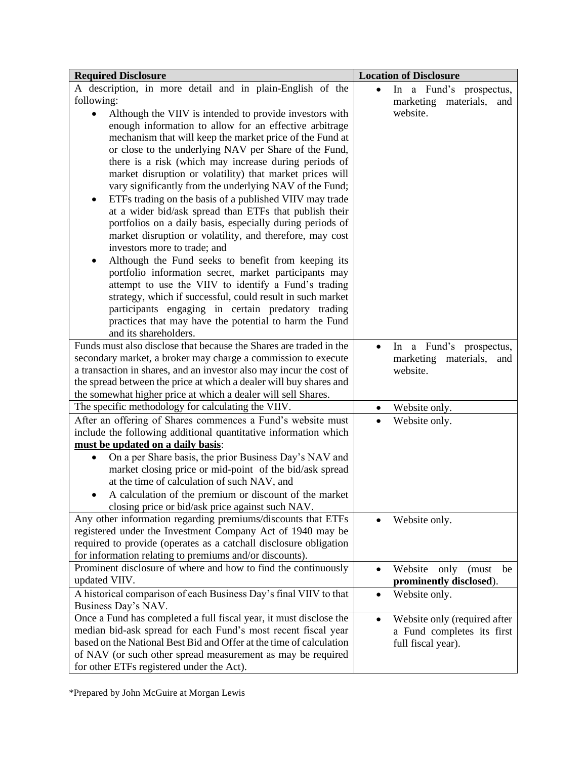| <b>Required Disclosure</b>                                                                                                                                                                                                                                                                                                                                                                                                                                                                                                                                                                                                                                                                                                                                                                                                             | <b>Location of Disclosure</b>                                                                 |
|----------------------------------------------------------------------------------------------------------------------------------------------------------------------------------------------------------------------------------------------------------------------------------------------------------------------------------------------------------------------------------------------------------------------------------------------------------------------------------------------------------------------------------------------------------------------------------------------------------------------------------------------------------------------------------------------------------------------------------------------------------------------------------------------------------------------------------------|-----------------------------------------------------------------------------------------------|
| A description, in more detail and in plain-English of the<br>following:                                                                                                                                                                                                                                                                                                                                                                                                                                                                                                                                                                                                                                                                                                                                                                | In a Fund's prospectus,                                                                       |
| Although the VIIV is intended to provide investors with<br>$\bullet$<br>enough information to allow for an effective arbitrage<br>mechanism that will keep the market price of the Fund at<br>or close to the underlying NAV per Share of the Fund,<br>there is a risk (which may increase during periods of<br>market disruption or volatility) that market prices will<br>vary significantly from the underlying NAV of the Fund;<br>ETFs trading on the basis of a published VIIV may trade<br>at a wider bid/ask spread than ETFs that publish their<br>portfolios on a daily basis, especially during periods of<br>market disruption or volatility, and therefore, may cost<br>investors more to trade; and<br>Although the Fund seeks to benefit from keeping its<br>٠<br>portfolio information secret, market participants may | marketing<br>materials,<br>and<br>website.                                                    |
| attempt to use the VIIV to identify a Fund's trading<br>strategy, which if successful, could result in such market<br>participants engaging in certain predatory trading<br>practices that may have the potential to harm the Fund<br>and its shareholders.                                                                                                                                                                                                                                                                                                                                                                                                                                                                                                                                                                            |                                                                                               |
| Funds must also disclose that because the Shares are traded in the                                                                                                                                                                                                                                                                                                                                                                                                                                                                                                                                                                                                                                                                                                                                                                     | In a Fund's prospectus,                                                                       |
| secondary market, a broker may charge a commission to execute                                                                                                                                                                                                                                                                                                                                                                                                                                                                                                                                                                                                                                                                                                                                                                          | marketing<br>materials,<br>and                                                                |
| a transaction in shares, and an investor also may incur the cost of                                                                                                                                                                                                                                                                                                                                                                                                                                                                                                                                                                                                                                                                                                                                                                    | website.                                                                                      |
| the spread between the price at which a dealer will buy shares and                                                                                                                                                                                                                                                                                                                                                                                                                                                                                                                                                                                                                                                                                                                                                                     |                                                                                               |
| the somewhat higher price at which a dealer will sell Shares.                                                                                                                                                                                                                                                                                                                                                                                                                                                                                                                                                                                                                                                                                                                                                                          |                                                                                               |
| The specific methodology for calculating the VIIV.                                                                                                                                                                                                                                                                                                                                                                                                                                                                                                                                                                                                                                                                                                                                                                                     | Website only.<br>$\bullet$                                                                    |
| After an offering of Shares commences a Fund's website must                                                                                                                                                                                                                                                                                                                                                                                                                                                                                                                                                                                                                                                                                                                                                                            | Website only.                                                                                 |
| include the following additional quantitative information which<br>must be updated on a daily basis:                                                                                                                                                                                                                                                                                                                                                                                                                                                                                                                                                                                                                                                                                                                                   |                                                                                               |
| On a per Share basis, the prior Business Day's NAV and<br>$\bullet$<br>market closing price or mid-point of the bid/ask spread<br>at the time of calculation of such NAV, and<br>A calculation of the premium or discount of the market<br>closing price or bid/ask price against such NAV.                                                                                                                                                                                                                                                                                                                                                                                                                                                                                                                                            |                                                                                               |
| Any other information regarding premiums/discounts that ETFs<br>registered under the Investment Company Act of 1940 may be<br>required to provide (operates as a catchall disclosure obligation<br>for information relating to premiums and/or discounts).                                                                                                                                                                                                                                                                                                                                                                                                                                                                                                                                                                             | Website only.                                                                                 |
| Prominent disclosure of where and how to find the continuously                                                                                                                                                                                                                                                                                                                                                                                                                                                                                                                                                                                                                                                                                                                                                                         | Website<br>only<br>(must<br>be<br>$\bullet$                                                   |
| updated VIIV.                                                                                                                                                                                                                                                                                                                                                                                                                                                                                                                                                                                                                                                                                                                                                                                                                          | prominently disclosed).                                                                       |
| A historical comparison of each Business Day's final VIIV to that<br>Business Day's NAV.                                                                                                                                                                                                                                                                                                                                                                                                                                                                                                                                                                                                                                                                                                                                               | Website only.<br>$\bullet$                                                                    |
| Once a Fund has completed a full fiscal year, it must disclose the<br>median bid-ask spread for each Fund's most recent fiscal year<br>based on the National Best Bid and Offer at the time of calculation<br>of NAV (or such other spread measurement as may be required<br>for other ETFs registered under the Act).                                                                                                                                                                                                                                                                                                                                                                                                                                                                                                                 | Website only (required after<br>$\bullet$<br>a Fund completes its first<br>full fiscal year). |